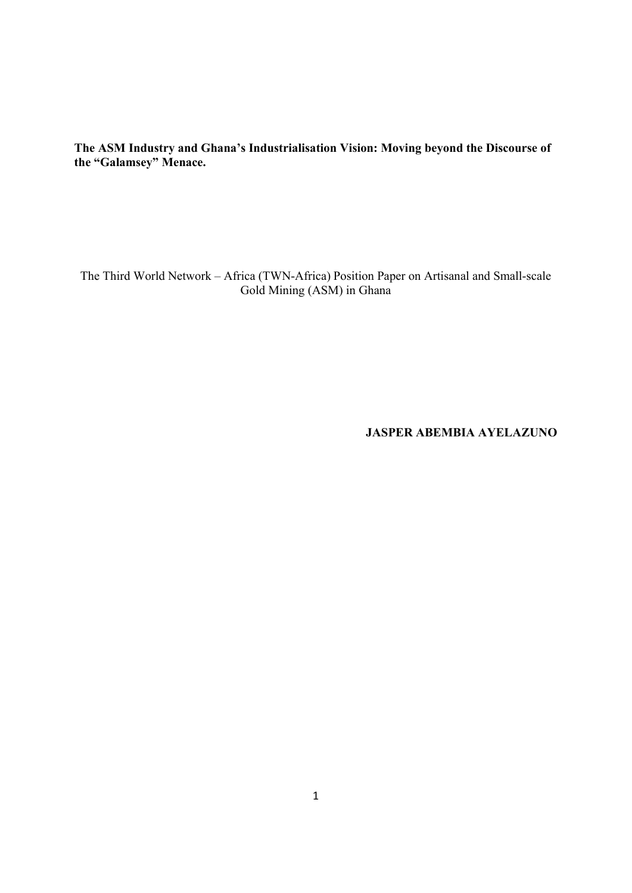**The ASM Industry and Ghana's Industrialisation Vision: Moving beyond the Discourse of the "Galamsey" Menace.** 

The Third World Network – Africa (TWN-Africa) Position Paper on Artisanal and Small-scale Gold Mining (ASM) in Ghana

**JASPER ABEMBIA AYELAZUNO**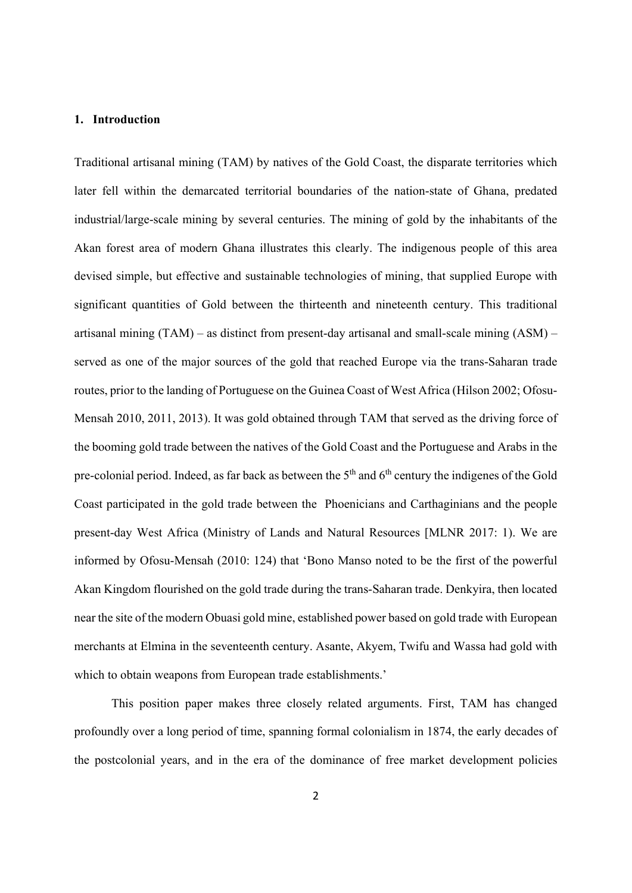#### **1. Introduction**

Traditional artisanal mining (TAM) by natives of the Gold Coast, the disparate territories which later fell within the demarcated territorial boundaries of the nation-state of Ghana, predated industrial/large-scale mining by several centuries. The mining of gold by the inhabitants of the Akan forest area of modern Ghana illustrates this clearly. The indigenous people of this area devised simple, but effective and sustainable technologies of mining, that supplied Europe with significant quantities of Gold between the thirteenth and nineteenth century. This traditional artisanal mining (TAM) – as distinct from present-day artisanal and small-scale mining (ASM) – served as one of the major sources of the gold that reached Europe via the trans-Saharan trade routes, prior to the landing of Portuguese on the Guinea Coast of West Africa (Hilson 2002; Ofosu-Mensah 2010, 2011, 2013). It was gold obtained through TAM that served as the driving force of the booming gold trade between the natives of the Gold Coast and the Portuguese and Arabs in the pre-colonial period. Indeed, as far back as between the  $5<sup>th</sup>$  and  $6<sup>th</sup>$  century the indigenes of the Gold Coast participated in the gold trade between the Phoenicians and Carthaginians and the people present-day West Africa (Ministry of Lands and Natural Resources [MLNR 2017: 1). We are informed by Ofosu-Mensah (2010: 124) that 'Bono Manso noted to be the first of the powerful Akan Kingdom flourished on the gold trade during the trans-Saharan trade. Denkyira, then located near the site of the modern Obuasi gold mine, established power based on gold trade with European merchants at Elmina in the seventeenth century. Asante, Akyem, Twifu and Wassa had gold with which to obtain weapons from European trade establishments.'

 This position paper makes three closely related arguments. First, TAM has changed profoundly over a long period of time, spanning formal colonialism in 1874, the early decades of the postcolonial years, and in the era of the dominance of free market development policies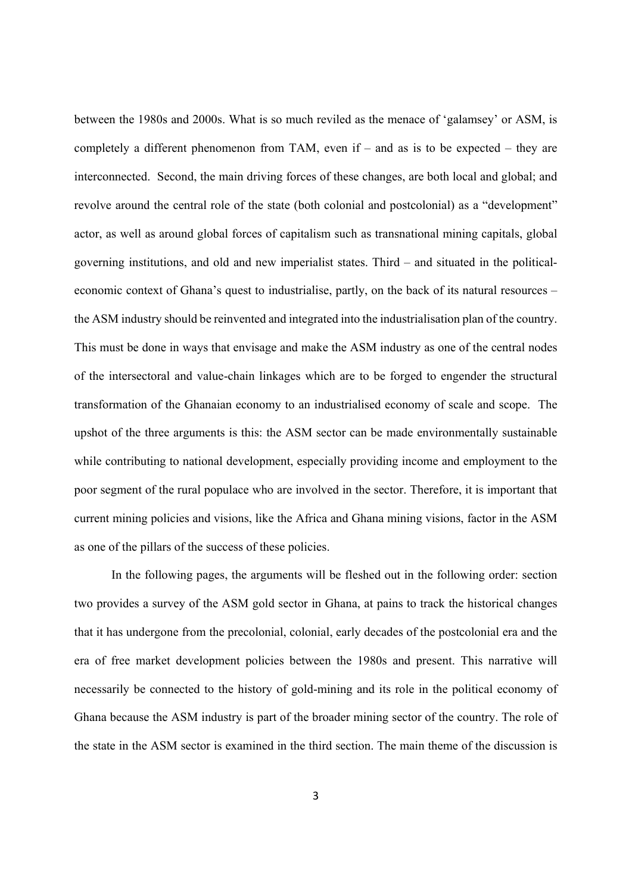between the 1980s and 2000s. What is so much reviled as the menace of 'galamsey' or ASM, is completely a different phenomenon from TAM, even if – and as is to be expected – they are interconnected. Second, the main driving forces of these changes, are both local and global; and revolve around the central role of the state (both colonial and postcolonial) as a "development" actor, as well as around global forces of capitalism such as transnational mining capitals, global governing institutions, and old and new imperialist states. Third – and situated in the politicaleconomic context of Ghana's quest to industrialise, partly, on the back of its natural resources – the ASM industry should be reinvented and integrated into the industrialisation plan of the country. This must be done in ways that envisage and make the ASM industry as one of the central nodes of the intersectoral and value-chain linkages which are to be forged to engender the structural transformation of the Ghanaian economy to an industrialised economy of scale and scope. The upshot of the three arguments is this: the ASM sector can be made environmentally sustainable while contributing to national development, especially providing income and employment to the poor segment of the rural populace who are involved in the sector. Therefore, it is important that current mining policies and visions, like the Africa and Ghana mining visions, factor in the ASM as one of the pillars of the success of these policies.

In the following pages, the arguments will be fleshed out in the following order: section two provides a survey of the ASM gold sector in Ghana, at pains to track the historical changes that it has undergone from the precolonial, colonial, early decades of the postcolonial era and the era of free market development policies between the 1980s and present. This narrative will necessarily be connected to the history of gold-mining and its role in the political economy of Ghana because the ASM industry is part of the broader mining sector of the country. The role of the state in the ASM sector is examined in the third section. The main theme of the discussion is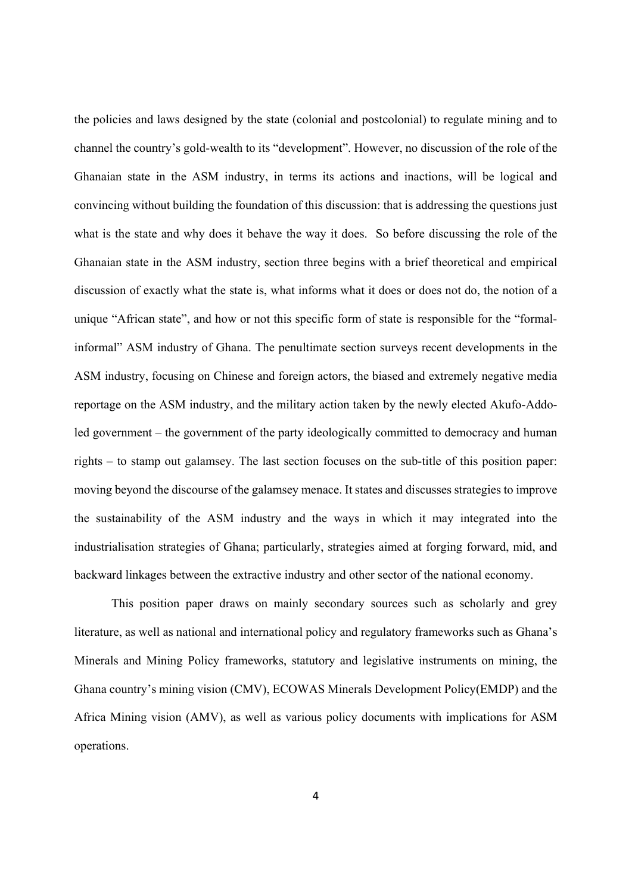the policies and laws designed by the state (colonial and postcolonial) to regulate mining and to channel the country's gold-wealth to its "development". However, no discussion of the role of the Ghanaian state in the ASM industry, in terms its actions and inactions, will be logical and convincing without building the foundation of this discussion: that is addressing the questions just what is the state and why does it behave the way it does. So before discussing the role of the Ghanaian state in the ASM industry, section three begins with a brief theoretical and empirical discussion of exactly what the state is, what informs what it does or does not do, the notion of a unique "African state", and how or not this specific form of state is responsible for the "formalinformal" ASM industry of Ghana. The penultimate section surveys recent developments in the ASM industry, focusing on Chinese and foreign actors, the biased and extremely negative media reportage on the ASM industry, and the military action taken by the newly elected Akufo-Addoled government – the government of the party ideologically committed to democracy and human rights – to stamp out galamsey. The last section focuses on the sub-title of this position paper: moving beyond the discourse of the galamsey menace. It states and discusses strategies to improve the sustainability of the ASM industry and the ways in which it may integrated into the industrialisation strategies of Ghana; particularly, strategies aimed at forging forward, mid, and backward linkages between the extractive industry and other sector of the national economy.

This position paper draws on mainly secondary sources such as scholarly and grey literature, as well as national and international policy and regulatory frameworks such as Ghana's Minerals and Mining Policy frameworks, statutory and legislative instruments on mining, the Ghana country's mining vision (CMV), ECOWAS Minerals Development Policy(EMDP) and the Africa Mining vision (AMV), as well as various policy documents with implications for ASM operations.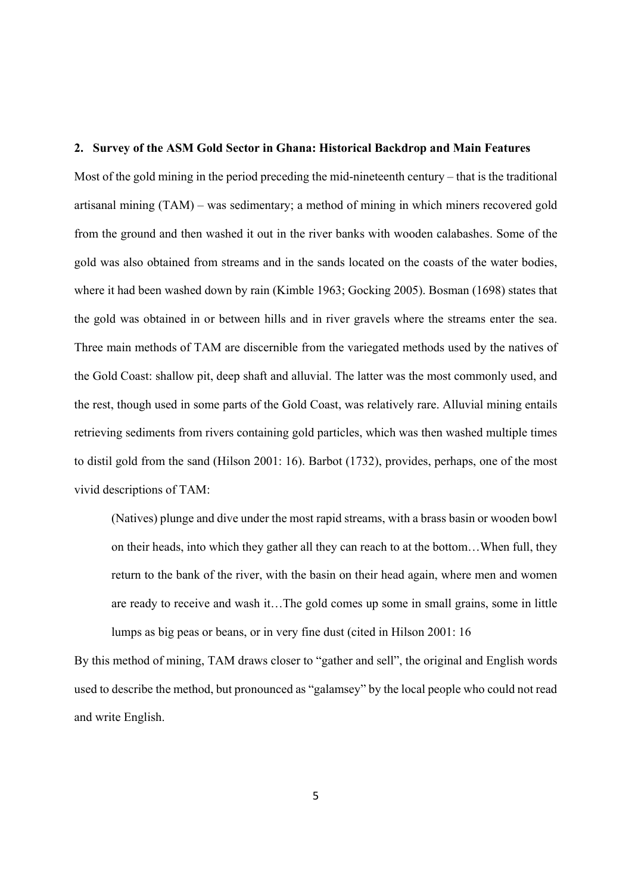#### **2. Survey of the ASM Gold Sector in Ghana: Historical Backdrop and Main Features**

Most of the gold mining in the period preceding the mid-nineteenth century – that is the traditional artisanal mining (TAM) – was sedimentary; a method of mining in which miners recovered gold from the ground and then washed it out in the river banks with wooden calabashes. Some of the gold was also obtained from streams and in the sands located on the coasts of the water bodies, where it had been washed down by rain (Kimble 1963; Gocking 2005). Bosman (1698) states that the gold was obtained in or between hills and in river gravels where the streams enter the sea. Three main methods of TAM are discernible from the variegated methods used by the natives of the Gold Coast: shallow pit, deep shaft and alluvial. The latter was the most commonly used, and the rest, though used in some parts of the Gold Coast, was relatively rare. Alluvial mining entails retrieving sediments from rivers containing gold particles, which was then washed multiple times to distil gold from the sand (Hilson 2001: 16). Barbot (1732), provides, perhaps, one of the most vivid descriptions of TAM:

(Natives) plunge and dive under the most rapid streams, with a brass basin or wooden bowl on their heads, into which they gather all they can reach to at the bottom…When full, they return to the bank of the river, with the basin on their head again, where men and women are ready to receive and wash it…The gold comes up some in small grains, some in little lumps as big peas or beans, or in very fine dust (cited in Hilson 2001: 16

By this method of mining, TAM draws closer to "gather and sell", the original and English words used to describe the method, but pronounced as "galamsey" by the local people who could not read and write English.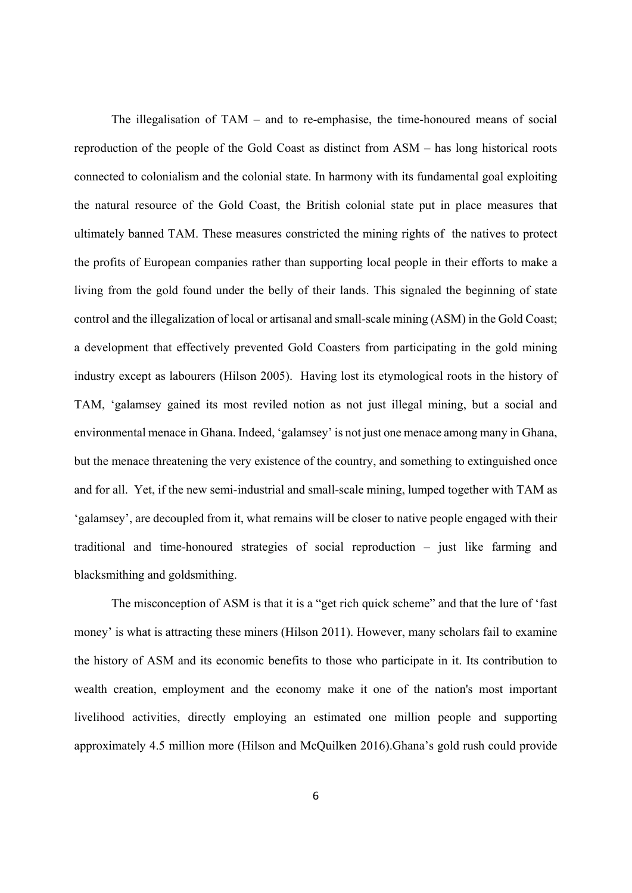The illegalisation of TAM – and to re-emphasise, the time-honoured means of social reproduction of the people of the Gold Coast as distinct from ASM – has long historical roots connected to colonialism and the colonial state. In harmony with its fundamental goal exploiting the natural resource of the Gold Coast, the British colonial state put in place measures that ultimately banned TAM. These measures constricted the mining rights of the natives to protect the profits of European companies rather than supporting local people in their efforts to make a living from the gold found under the belly of their lands. This signaled the beginning of state control and the illegalization of local or artisanal and small-scale mining (ASM) in the Gold Coast; a development that effectively prevented Gold Coasters from participating in the gold mining industry except as labourers (Hilson 2005). Having lost its etymological roots in the history of TAM, 'galamsey gained its most reviled notion as not just illegal mining, but a social and environmental menace in Ghana. Indeed, 'galamsey' is not just one menace among many in Ghana, but the menace threatening the very existence of the country, and something to extinguished once and for all. Yet, if the new semi-industrial and small-scale mining, lumped together with TAM as 'galamsey', are decoupled from it, what remains will be closer to native people engaged with their traditional and time-honoured strategies of social reproduction – just like farming and blacksmithing and goldsmithing.

The misconception of ASM is that it is a "get rich quick scheme" and that the lure of 'fast money' is what is attracting these miners (Hilson 2011). However, many scholars fail to examine the history of ASM and its economic benefits to those who participate in it. Its contribution to wealth creation, employment and the economy make it one of the nation's most important livelihood activities, directly employing an estimated one million people and supporting approximately 4.5 million more (Hilson and McQuilken 2016).Ghana's gold rush could provide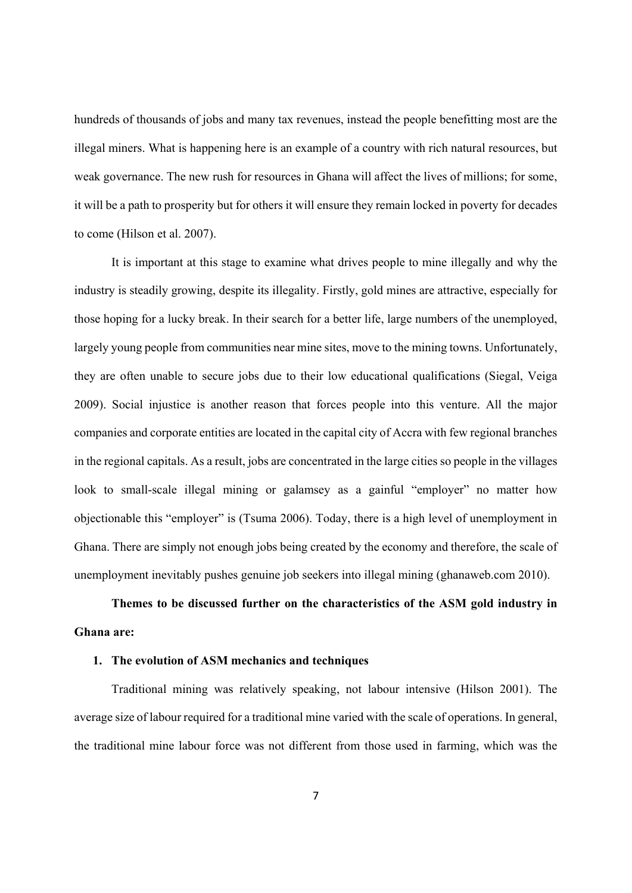hundreds of thousands of jobs and many tax revenues, instead the people benefitting most are the illegal miners. What is happening here is an example of a country with rich natural resources, but weak governance. The new rush for resources in Ghana will affect the lives of millions; for some, it will be a path to prosperity but for others it will ensure they remain locked in poverty for decades to come (Hilson et al. 2007).

It is important at this stage to examine what drives people to mine illegally and why the industry is steadily growing, despite its illegality. Firstly, gold mines are attractive, especially for those hoping for a lucky break. In their search for a better life, large numbers of the unemployed, largely young people from communities near mine sites, move to the mining towns. Unfortunately, they are often unable to secure jobs due to their low educational qualifications (Siegal, Veiga 2009). Social injustice is another reason that forces people into this venture. All the major companies and corporate entities are located in the capital city of Accra with few regional branches in the regional capitals. As a result, jobs are concentrated in the large cities so people in the villages look to small-scale illegal mining or galamsey as a gainful "employer" no matter how objectionable this "employer" is (Tsuma 2006). Today, there is a high level of unemployment in Ghana. There are simply not enough jobs being created by the economy and therefore, the scale of unemployment inevitably pushes genuine job seekers into illegal mining (ghanaweb.com 2010).

**Themes to be discussed further on the characteristics of the ASM gold industry in Ghana are:** 

### **1. The evolution of ASM mechanics and techniques**

 Traditional mining was relatively speaking, not labour intensive (Hilson 2001). The average size of labour required for a traditional mine varied with the scale of operations. In general, the traditional mine labour force was not different from those used in farming, which was the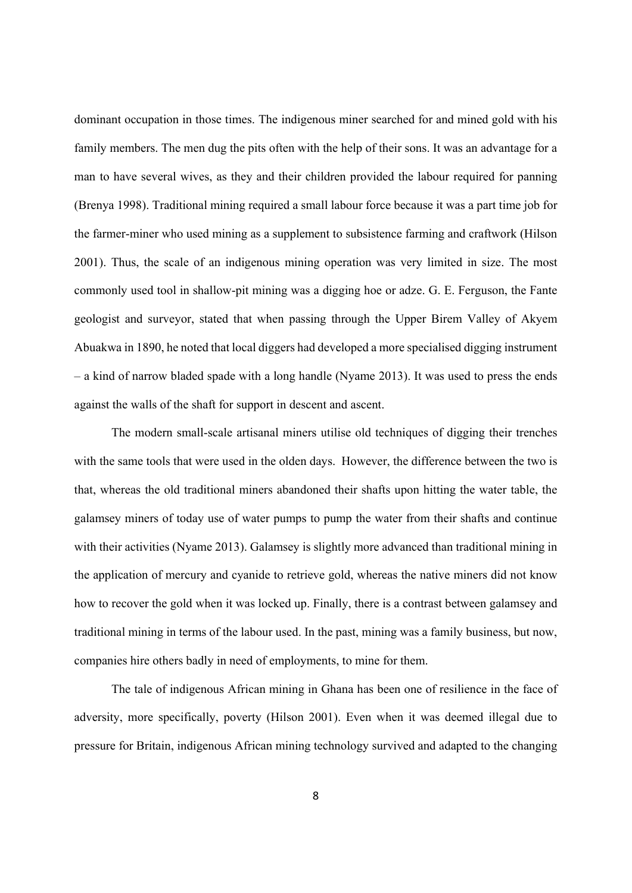dominant occupation in those times. The indigenous miner searched for and mined gold with his family members. The men dug the pits often with the help of their sons. It was an advantage for a man to have several wives, as they and their children provided the labour required for panning (Brenya 1998). Traditional mining required a small labour force because it was a part time job for the farmer-miner who used mining as a supplement to subsistence farming and craftwork (Hilson 2001). Thus, the scale of an indigenous mining operation was very limited in size. The most commonly used tool in shallow-pit mining was a digging hoe or adze. G. E. Ferguson, the Fante geologist and surveyor, stated that when passing through the Upper Birem Valley of Akyem Abuakwa in 1890, he noted that local diggers had developed a more specialised digging instrument – a kind of narrow bladed spade with a long handle (Nyame 2013). It was used to press the ends against the walls of the shaft for support in descent and ascent.

 The modern small-scale artisanal miners utilise old techniques of digging their trenches with the same tools that were used in the olden days. However, the difference between the two is that, whereas the old traditional miners abandoned their shafts upon hitting the water table, the galamsey miners of today use of water pumps to pump the water from their shafts and continue with their activities (Nyame 2013). Galamsey is slightly more advanced than traditional mining in the application of mercury and cyanide to retrieve gold, whereas the native miners did not know how to recover the gold when it was locked up. Finally, there is a contrast between galamsey and traditional mining in terms of the labour used. In the past, mining was a family business, but now, companies hire others badly in need of employments, to mine for them.

 The tale of indigenous African mining in Ghana has been one of resilience in the face of adversity, more specifically, poverty (Hilson 2001). Even when it was deemed illegal due to pressure for Britain, indigenous African mining technology survived and adapted to the changing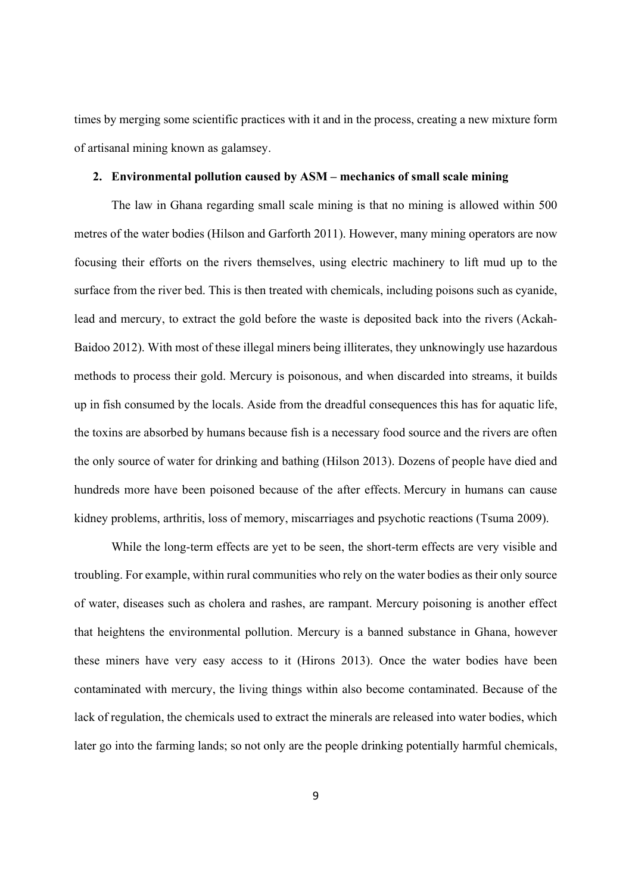times by merging some scientific practices with it and in the process, creating a new mixture form of artisanal mining known as galamsey.

#### **2. Environmental pollution caused by ASM – mechanics of small scale mining**

 The law in Ghana regarding small scale mining is that no mining is allowed within 500 metres of the water bodies (Hilson and Garforth 2011). However, many mining operators are now focusing their efforts on the rivers themselves, using electric machinery to lift mud up to the surface from the river bed. This is then treated with chemicals, including poisons such as cyanide, lead and mercury, to extract the gold before the waste is deposited back into the rivers (Ackah-Baidoo 2012). With most of these illegal miners being illiterates, they unknowingly use hazardous methods to process their gold. Mercury is poisonous, and when discarded into streams, it builds up in fish consumed by the locals. Aside from the dreadful consequences this has for aquatic life, the toxins are absorbed by humans because fish is a necessary food source and the rivers are often the only source of water for drinking and bathing (Hilson 2013). Dozens of people have died and hundreds more have been poisoned because of the after effects. Mercury in humans can cause kidney problems, arthritis, loss of memory, miscarriages and psychotic reactions (Tsuma 2009).

 While the long-term effects are yet to be seen, the short-term effects are very visible and troubling. For example, within rural communities who rely on the water bodies as their only source of water, diseases such as cholera and rashes, are rampant. Mercury poisoning is another effect that heightens the environmental pollution. Mercury is a banned substance in Ghana, however these miners have very easy access to it (Hirons 2013). Once the water bodies have been contaminated with mercury, the living things within also become contaminated. Because of the lack of regulation, the chemicals used to extract the minerals are released into water bodies, which later go into the farming lands; so not only are the people drinking potentially harmful chemicals,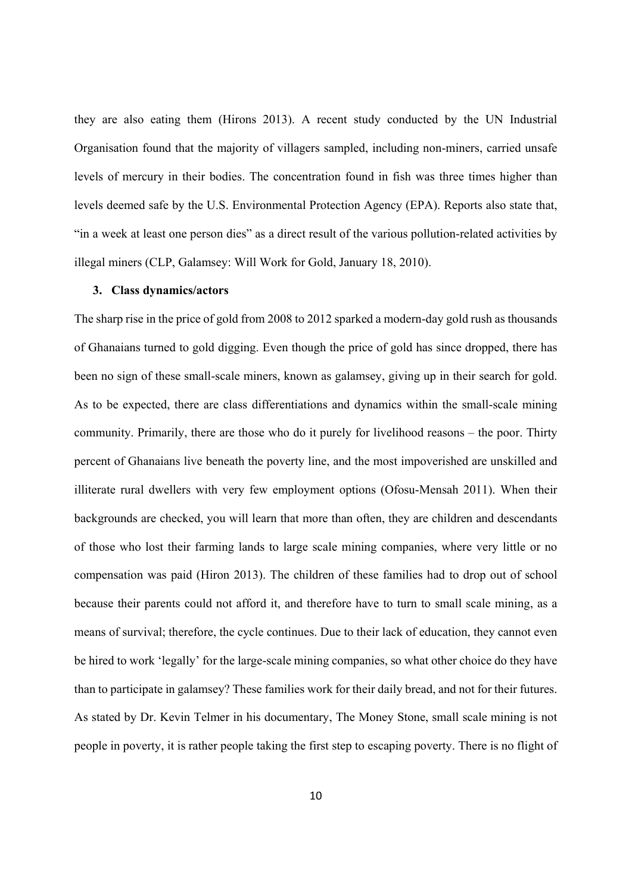they are also eating them (Hirons 2013). A recent study conducted by the UN Industrial Organisation found that the majority of villagers sampled, including non-miners, carried unsafe levels of mercury in their bodies. The concentration found in fish was three times higher than levels deemed safe by the U.S. Environmental Protection Agency (EPA). Reports also state that, "in a week at least one person dies" as a direct result of the various pollution-related activities by illegal miners (CLP, Galamsey: Will Work for Gold, January 18, 2010).

#### **3. Class dynamics/actors**

The sharp rise in the price of gold from 2008 to 2012 sparked a modern-day gold rush as thousands of Ghanaians turned to gold digging. Even though the price of gold has since dropped, there has been no sign of these small-scale miners, known as galamsey, giving up in their search for gold. As to be expected, there are class differentiations and dynamics within the small-scale mining community. Primarily, there are those who do it purely for livelihood reasons – the poor. Thirty percent of Ghanaians live beneath the poverty line, and the most impoverished are unskilled and illiterate rural dwellers with very few employment options (Ofosu-Mensah 2011). When their backgrounds are checked, you will learn that more than often, they are children and descendants of those who lost their farming lands to large scale mining companies, where very little or no compensation was paid (Hiron 2013). The children of these families had to drop out of school because their parents could not afford it, and therefore have to turn to small scale mining, as a means of survival; therefore, the cycle continues. Due to their lack of education, they cannot even be hired to work 'legally' for the large-scale mining companies, so what other choice do they have than to participate in galamsey? These families work for their daily bread, and not for their futures. As stated by Dr. Kevin Telmer in his documentary, The Money Stone, small scale mining is not people in poverty, it is rather people taking the first step to escaping poverty. There is no flight of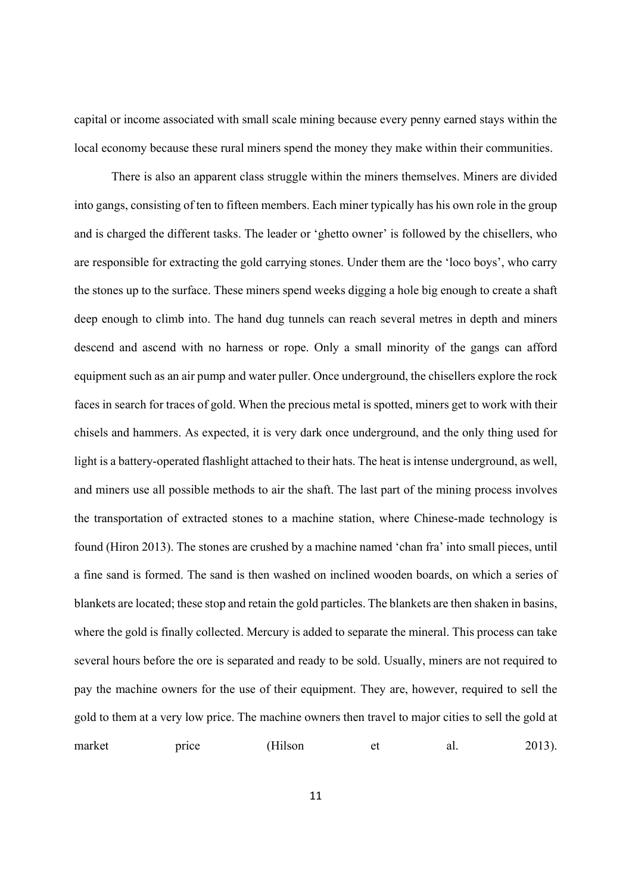capital or income associated with small scale mining because every penny earned stays within the local economy because these rural miners spend the money they make within their communities.

 There is also an apparent class struggle within the miners themselves. Miners are divided into gangs, consisting of ten to fifteen members. Each miner typically has his own role in the group and is charged the different tasks. The leader or 'ghetto owner' is followed by the chisellers, who are responsible for extracting the gold carrying stones. Under them are the 'loco boys', who carry the stones up to the surface. These miners spend weeks digging a hole big enough to create a shaft deep enough to climb into. The hand dug tunnels can reach several metres in depth and miners descend and ascend with no harness or rope. Only a small minority of the gangs can afford equipment such as an air pump and water puller. Once underground, the chisellers explore the rock faces in search for traces of gold. When the precious metal is spotted, miners get to work with their chisels and hammers. As expected, it is very dark once underground, and the only thing used for light is a battery-operated flashlight attached to their hats. The heat is intense underground, as well, and miners use all possible methods to air the shaft. The last part of the mining process involves the transportation of extracted stones to a machine station, where Chinese-made technology is found (Hiron 2013). The stones are crushed by a machine named 'chan fra' into small pieces, until a fine sand is formed. The sand is then washed on inclined wooden boards, on which a series of blankets are located; these stop and retain the gold particles. The blankets are then shaken in basins, where the gold is finally collected. Mercury is added to separate the mineral. This process can take several hours before the ore is separated and ready to be sold. Usually, miners are not required to pay the machine owners for the use of their equipment. They are, however, required to sell the gold to them at a very low price. The machine owners then travel to major cities to sell the gold at market price (Hilson et al. 2013).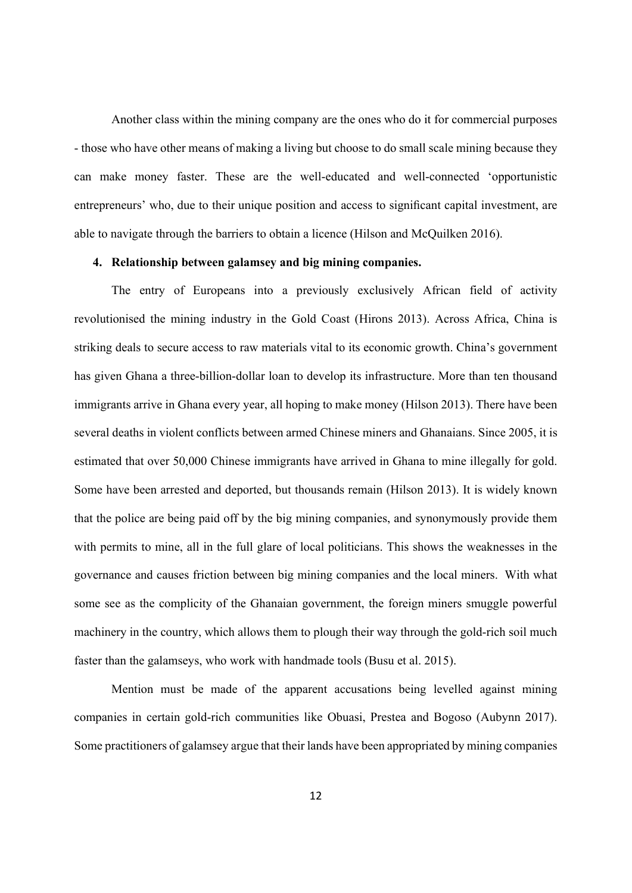Another class within the mining company are the ones who do it for commercial purposes - those who have other means of making a living but choose to do small scale mining because they can make money faster. These are the well-educated and well-connected 'opportunistic entrepreneurs' who, due to their unique position and access to significant capital investment, are able to navigate through the barriers to obtain a licence (Hilson and McQuilken 2016).

#### **4. Relationship between galamsey and big mining companies.**

 The entry of Europeans into a previously exclusively African field of activity revolutionised the mining industry in the Gold Coast (Hirons 2013). Across Africa, China is striking deals to secure access to raw materials vital to its economic growth. China's government has given Ghana a three-billion-dollar loan to develop its infrastructure. More than ten thousand immigrants arrive in Ghana every year, all hoping to make money (Hilson 2013). There have been several deaths in violent conflicts between armed Chinese miners and Ghanaians. Since 2005, it is estimated that over 50,000 Chinese immigrants have arrived in Ghana to mine illegally for gold. Some have been arrested and deported, but thousands remain (Hilson 2013). It is widely known that the police are being paid off by the big mining companies, and synonymously provide them with permits to mine, all in the full glare of local politicians. This shows the weaknesses in the governance and causes friction between big mining companies and the local miners. With what some see as the complicity of the Ghanaian government, the foreign miners smuggle powerful machinery in the country, which allows them to plough their way through the gold-rich soil much faster than the galamseys, who work with handmade tools (Busu et al. 2015).

 Mention must be made of the apparent accusations being levelled against mining companies in certain gold-rich communities like Obuasi, Prestea and Bogoso (Aubynn 2017). Some practitioners of galamsey argue that their lands have been appropriated by mining companies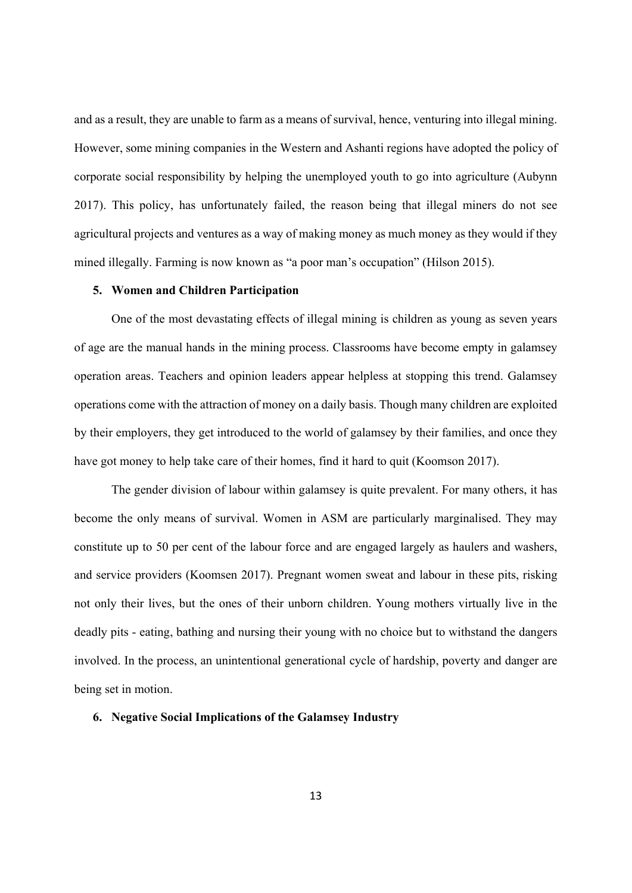and as a result, they are unable to farm as a means of survival, hence, venturing into illegal mining. However, some mining companies in the Western and Ashanti regions have adopted the policy of corporate social responsibility by helping the unemployed youth to go into agriculture (Aubynn 2017). This policy, has unfortunately failed, the reason being that illegal miners do not see agricultural projects and ventures as a way of making money as much money as they would if they mined illegally. Farming is now known as "a poor man's occupation" (Hilson 2015).

#### **5. Women and Children Participation**

 One of the most devastating effects of illegal mining is children as young as seven years of age are the manual hands in the mining process. Classrooms have become empty in galamsey operation areas. Teachers and opinion leaders appear helpless at stopping this trend. Galamsey operations come with the attraction of money on a daily basis. Though many children are exploited by their employers, they get introduced to the world of galamsey by their families, and once they have got money to help take care of their homes, find it hard to quit (Koomson 2017).

 The gender division of labour within galamsey is quite prevalent. For many others, it has become the only means of survival. Women in ASM are particularly marginalised. They may constitute up to 50 per cent of the labour force and are engaged largely as haulers and washers, and service providers (Koomsen 2017). Pregnant women sweat and labour in these pits, risking not only their lives, but the ones of their unborn children. Young mothers virtually live in the deadly pits - eating, bathing and nursing their young with no choice but to withstand the dangers involved. In the process, an unintentional generational cycle of hardship, poverty and danger are being set in motion.

#### **6. Negative Social Implications of the Galamsey Industry**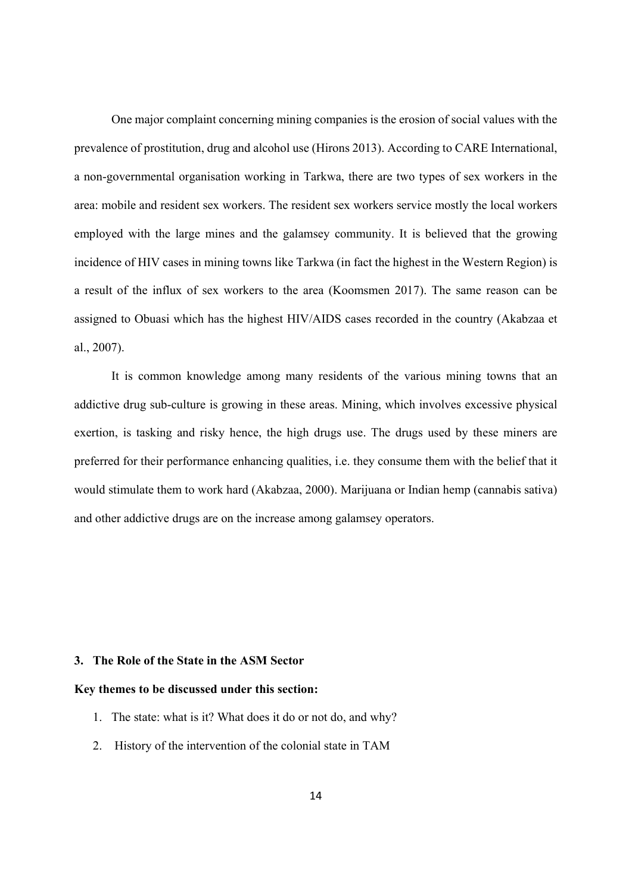One major complaint concerning mining companies is the erosion of social values with the prevalence of prostitution, drug and alcohol use (Hirons 2013). According to CARE International, a non-governmental organisation working in Tarkwa, there are two types of sex workers in the area: mobile and resident sex workers. The resident sex workers service mostly the local workers employed with the large mines and the galamsey community. It is believed that the growing incidence of HIV cases in mining towns like Tarkwa (in fact the highest in the Western Region) is a result of the influx of sex workers to the area (Koomsmen 2017). The same reason can be assigned to Obuasi which has the highest HIV/AIDS cases recorded in the country (Akabzaa et al., 2007).

 It is common knowledge among many residents of the various mining towns that an addictive drug sub-culture is growing in these areas. Mining, which involves excessive physical exertion, is tasking and risky hence, the high drugs use. The drugs used by these miners are preferred for their performance enhancing qualities, i.e. they consume them with the belief that it would stimulate them to work hard (Akabzaa, 2000). Marijuana or Indian hemp (cannabis sativa) and other addictive drugs are on the increase among galamsey operators.

#### **3. The Role of the State in the ASM Sector**

#### **Key themes to be discussed under this section:**

- 1. The state: what is it? What does it do or not do, and why?
- 2. History of the intervention of the colonial state in TAM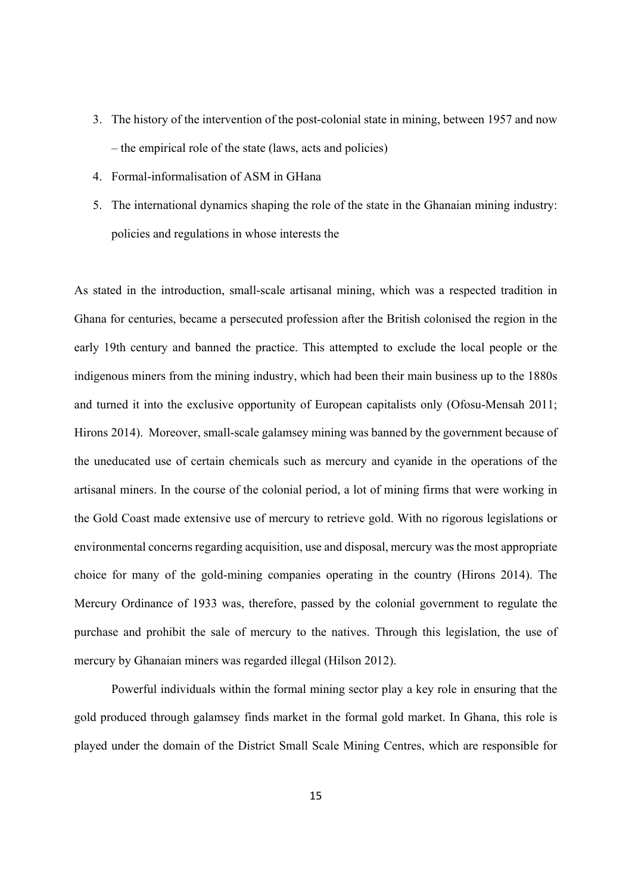- 3. The history of the intervention of the post-colonial state in mining, between 1957 and now – the empirical role of the state (laws, acts and policies)
- 4. Formal-informalisation of ASM in GHana
- 5. The international dynamics shaping the role of the state in the Ghanaian mining industry: policies and regulations in whose interests the

As stated in the introduction, small-scale artisanal mining, which was a respected tradition in Ghana for centuries, became a persecuted profession after the British colonised the region in the early 19th century and banned the practice. This attempted to exclude the local people or the indigenous miners from the mining industry, which had been their main business up to the 1880s and turned it into the exclusive opportunity of European capitalists only (Ofosu-Mensah 2011; Hirons 2014). Moreover, small-scale galamsey mining was banned by the government because of the uneducated use of certain chemicals such as mercury and cyanide in the operations of the artisanal miners. In the course of the colonial period, a lot of mining firms that were working in the Gold Coast made extensive use of mercury to retrieve gold. With no rigorous legislations or environmental concerns regarding acquisition, use and disposal, mercury was the most appropriate choice for many of the gold-mining companies operating in the country (Hirons 2014). The Mercury Ordinance of 1933 was, therefore, passed by the colonial government to regulate the purchase and prohibit the sale of mercury to the natives. Through this legislation, the use of mercury by Ghanaian miners was regarded illegal (Hilson 2012).

 Powerful individuals within the formal mining sector play a key role in ensuring that the gold produced through galamsey finds market in the formal gold market. In Ghana, this role is played under the domain of the District Small Scale Mining Centres, which are responsible for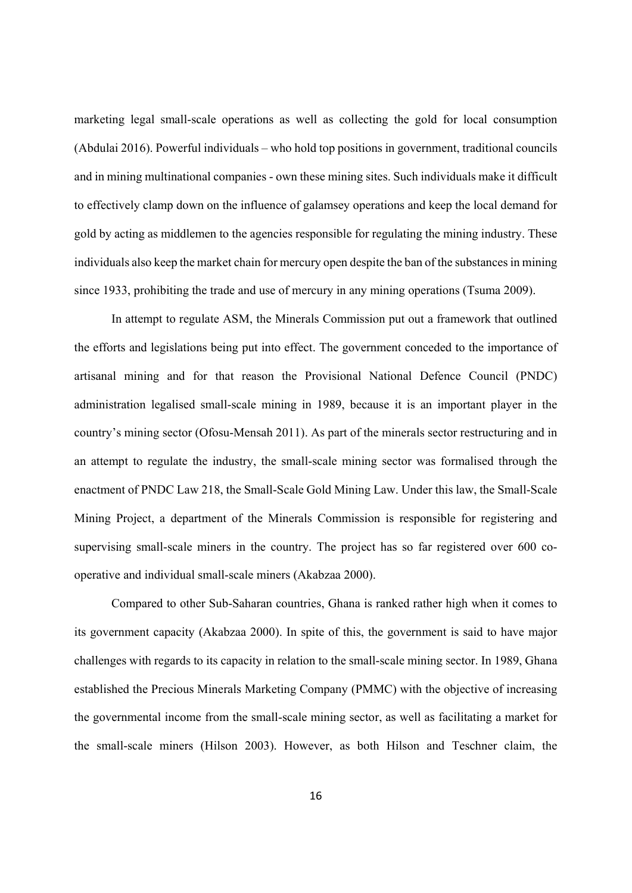marketing legal small-scale operations as well as collecting the gold for local consumption (Abdulai 2016). Powerful individuals – who hold top positions in government, traditional councils and in mining multinational companies - own these mining sites. Such individuals make it difficult to effectively clamp down on the influence of galamsey operations and keep the local demand for gold by acting as middlemen to the agencies responsible for regulating the mining industry. These individuals also keep the market chain for mercury open despite the ban of the substances in mining since 1933, prohibiting the trade and use of mercury in any mining operations (Tsuma 2009).

 In attempt to regulate ASM, the Minerals Commission put out a framework that outlined the efforts and legislations being put into effect. The government conceded to the importance of artisanal mining and for that reason the Provisional National Defence Council (PNDC) administration legalised small-scale mining in 1989, because it is an important player in the country's mining sector (Ofosu-Mensah 2011). As part of the minerals sector restructuring and in an attempt to regulate the industry, the small-scale mining sector was formalised through the enactment of PNDC Law 218, the Small-Scale Gold Mining Law. Under this law, the Small-Scale Mining Project, a department of the Minerals Commission is responsible for registering and supervising small-scale miners in the country. The project has so far registered over 600 cooperative and individual small-scale miners (Akabzaa 2000).

 Compared to other Sub-Saharan countries, Ghana is ranked rather high when it comes to its government capacity (Akabzaa 2000). In spite of this, the government is said to have major challenges with regards to its capacity in relation to the small-scale mining sector. In 1989, Ghana established the Precious Minerals Marketing Company (PMMC) with the objective of increasing the governmental income from the small-scale mining sector, as well as facilitating a market for the small-scale miners (Hilson 2003). However, as both Hilson and Teschner claim, the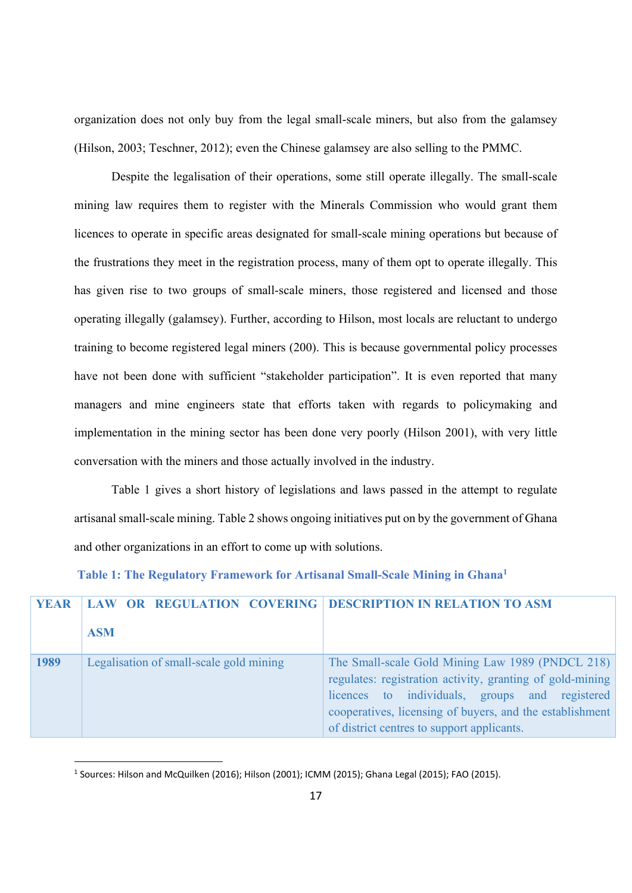organization does not only buy from the legal small-scale miners, but also from the galamsey (Hilson, 2003; Teschner, 2012); even the Chinese galamsey are also selling to the PMMC.

 Despite the legalisation of their operations, some still operate illegally. The small-scale mining law requires them to register with the Minerals Commission who would grant them licences to operate in specific areas designated for small-scale mining operations but because of the frustrations they meet in the registration process, many of them opt to operate illegally. This has given rise to two groups of small-scale miners, those registered and licensed and those operating illegally (galamsey). Further, according to Hilson, most locals are reluctant to undergo training to become registered legal miners (200). This is because governmental policy processes have not been done with sufficient "stakeholder participation". It is even reported that many managers and mine engineers state that efforts taken with regards to policymaking and implementation in the mining sector has been done very poorly (Hilson 2001), with very little conversation with the miners and those actually involved in the industry.

 Table 1 gives a short history of legislations and laws passed in the attempt to regulate artisanal small-scale mining. Table 2 shows ongoing initiatives put on by the government of Ghana and other organizations in an effort to come up with solutions.

### **Table 1: The Regulatory Framework for Artisanal Small-Scale Mining in Ghana1**

| <b>YEAR</b> | LAW OR REGULATION COVERING   DESCRIPTION IN RELATION TO ASM |                                                                                                                                                                                                                                                                           |
|-------------|-------------------------------------------------------------|---------------------------------------------------------------------------------------------------------------------------------------------------------------------------------------------------------------------------------------------------------------------------|
|             | <b>ASM</b>                                                  |                                                                                                                                                                                                                                                                           |
| 1989        | Legalisation of small-scale gold mining                     | The Small-scale Gold Mining Law 1989 (PNDCL 218)<br>regulates: registration activity, granting of gold-mining<br>licences to individuals, groups and registered<br>cooperatives, licensing of buyers, and the establishment<br>of district centres to support applicants. |

<sup>&</sup>lt;sup>1</sup> Sources: Hilson and McQuilken (2016); Hilson (2001); ICMM (2015); Ghana Legal (2015); FAO (2015).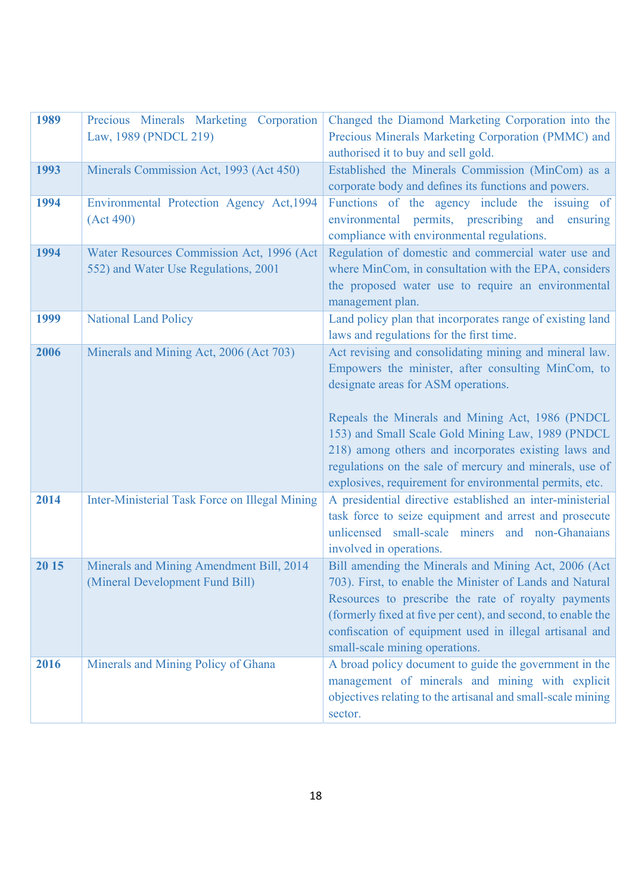| 1989  | Precious Minerals Marketing Corporation<br>Law, 1989 (PNDCL 219)            | Changed the Diamond Marketing Corporation into the<br>Precious Minerals Marketing Corporation (PMMC) and         |  |
|-------|-----------------------------------------------------------------------------|------------------------------------------------------------------------------------------------------------------|--|
|       |                                                                             | authorised it to buy and sell gold.                                                                              |  |
| 1993  | Minerals Commission Act, 1993 (Act 450)                                     | Established the Minerals Commission (MinCom) as a                                                                |  |
|       |                                                                             | corporate body and defines its functions and powers.                                                             |  |
| 1994  | Environmental Protection Agency Act, 1994                                   | Functions of the agency include the issuing of                                                                   |  |
|       | (Act 490)                                                                   | environmental permits, prescribing and ensuring<br>compliance with environmental regulations.                    |  |
| 1994  | Water Resources Commission Act, 1996 (Act                                   | Regulation of domestic and commercial water use and                                                              |  |
|       | 552) and Water Use Regulations, 2001                                        | where MinCom, in consultation with the EPA, considers                                                            |  |
|       |                                                                             | the proposed water use to require an environmental                                                               |  |
|       |                                                                             | management plan.                                                                                                 |  |
| 1999  | <b>National Land Policy</b>                                                 | Land policy plan that incorporates range of existing land<br>laws and regulations for the first time.            |  |
| 2006  | Minerals and Mining Act, 2006 (Act 703)                                     | Act revising and consolidating mining and mineral law.                                                           |  |
|       |                                                                             | Empowers the minister, after consulting MinCom, to                                                               |  |
|       |                                                                             | designate areas for ASM operations.                                                                              |  |
|       |                                                                             |                                                                                                                  |  |
|       |                                                                             | Repeals the Minerals and Mining Act, 1986 (PNDCL<br>153) and Small Scale Gold Mining Law, 1989 (PNDCL            |  |
|       |                                                                             | 218) among others and incorporates existing laws and                                                             |  |
|       |                                                                             | regulations on the sale of mercury and minerals, use of                                                          |  |
|       |                                                                             | explosives, requirement for environmental permits, etc.                                                          |  |
| 2014  | Inter-Ministerial Task Force on Illegal Mining                              | A presidential directive established an inter-ministerial                                                        |  |
|       |                                                                             | task force to seize equipment and arrest and prosecute                                                           |  |
|       |                                                                             | unlicensed small-scale miners and non-Ghanaians                                                                  |  |
|       |                                                                             | involved in operations.                                                                                          |  |
| 20 15 | Minerals and Mining Amendment Bill, 2014<br>(Mineral Development Fund Bill) | Bill amending the Minerals and Mining Act, 2006 (Act<br>703). First, to enable the Minister of Lands and Natural |  |
|       |                                                                             | Resources to prescribe the rate of royalty payments                                                              |  |
|       |                                                                             | (formerly fixed at five per cent), and second, to enable the                                                     |  |
|       |                                                                             | confiscation of equipment used in illegal artisanal and                                                          |  |
|       |                                                                             | small-scale mining operations.                                                                                   |  |
| 2016  | Minerals and Mining Policy of Ghana                                         | A broad policy document to guide the government in the                                                           |  |
|       |                                                                             | management of minerals and mining with explicit                                                                  |  |
|       |                                                                             | objectives relating to the artisanal and small-scale mining                                                      |  |
|       |                                                                             | sector.                                                                                                          |  |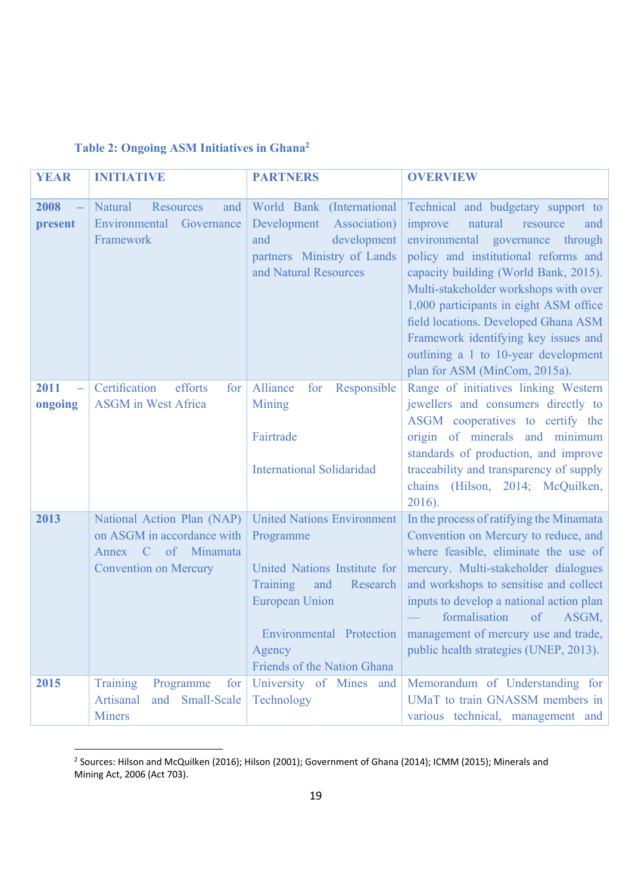# **Table 2: Ongoing ASM Initiatives in Ghana2**

| <b>YEAR</b>                                 | <b>INITIATIVE</b>                                                                                               | <b>PARTNERS</b>                                                                                                                                                                                             | <b>OVERVIEW</b>                                                                                                                                                                                                                                                                                                                                                                                                                              |
|---------------------------------------------|-----------------------------------------------------------------------------------------------------------------|-------------------------------------------------------------------------------------------------------------------------------------------------------------------------------------------------------------|----------------------------------------------------------------------------------------------------------------------------------------------------------------------------------------------------------------------------------------------------------------------------------------------------------------------------------------------------------------------------------------------------------------------------------------------|
| 2008<br>$\qquad \qquad -$<br>present        | Natural<br><b>Resources</b><br>and<br>Environmental<br>Governance<br>Framework                                  | World Bank (International<br>Development<br>Association)<br>development<br>and<br>partners Ministry of Lands<br>and Natural Resources                                                                       | Technical and budgetary support to<br>natural<br>improve<br>resource<br>and<br>environmental governance through<br>policy and institutional reforms and<br>capacity building (World Bank, 2015).<br>Multi-stakeholder workshops with over<br>1,000 participants in eight ASM office<br>field locations. Developed Ghana ASM<br>Framework identifying key issues and<br>outlining a 1 to 10-year development<br>plan for ASM (MinCom, 2015a). |
| 2011<br>$\overline{\phantom{0}}$<br>ongoing | Certification<br>efforts<br>for<br><b>ASGM</b> in West Africa                                                   | Responsible<br>Alliance<br>for<br><b>Mining</b><br>Fairtrade<br><b>International Solidaridad</b>                                                                                                            | Range of initiatives linking Western<br>jewellers and consumers directly to<br>ASGM cooperatives to certify the<br>origin of minerals and minimum<br>standards of production, and improve<br>traceability and transparency of supply<br>chains (Hilson, 2014; McQuilken,<br>2016).                                                                                                                                                           |
| 2013                                        | National Action Plan (NAP)<br>on ASGM in accordance with<br>Annex C of Minamata<br><b>Convention on Mercury</b> | <b>United Nations Environment</b><br>Programme<br>United Nations Institute for<br>Training<br>and<br>Research<br><b>European Union</b><br>Environmental Protection<br>Agency<br>Friends of the Nation Ghana | In the process of ratifying the Minamata<br>Convention on Mercury to reduce, and<br>where feasible, eliminate the use of<br>mercury. Multi-stakeholder dialogues<br>and workshops to sensitise and collect<br>inputs to develop a national action plan<br>formalisation<br>of<br>ASGM,<br>management of mercury use and trade,<br>public health strategies (UNEP, 2013).                                                                     |
| 2015                                        | Training<br>Programme<br>for<br>and Small-Scale<br>Artisanal<br><b>Miners</b>                                   | University of Mines and<br>Technology                                                                                                                                                                       | Memorandum of Understanding for<br>UMaT to train GNASSM members in<br>various technical, management and                                                                                                                                                                                                                                                                                                                                      |

 2 Sources: Hilson and McQuilken (2016); Hilson (2001); Government of Ghana (2014); ICMM (2015); Minerals and Mining Act, 2006 (Act 703).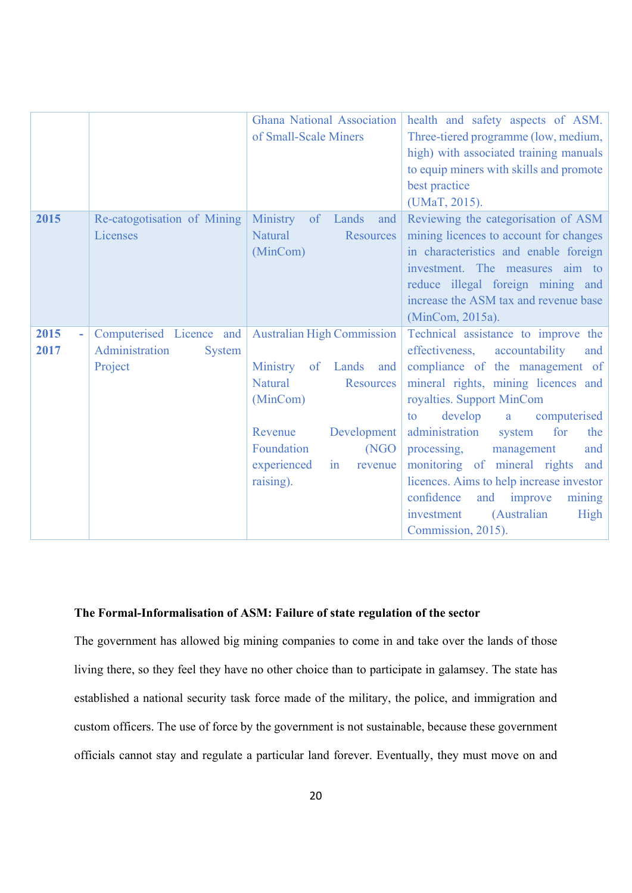|      |                                 | <b>Ghana National Association</b>  | health and safety aspects of ASM.        |
|------|---------------------------------|------------------------------------|------------------------------------------|
|      |                                 | of Small-Scale Miners              | Three-tiered programme (low, medium,     |
|      |                                 |                                    | high) with associated training manuals   |
|      |                                 |                                    | to equip miners with skills and promote  |
|      |                                 |                                    | best practice                            |
|      |                                 |                                    | (UMaT, 2015).                            |
| 2015 | Re-catogotisation of Mining     | Ministry<br>of<br>Lands<br>and     | Reviewing the categorisation of ASM      |
|      | Licenses                        | <b>Natural</b><br><b>Resources</b> | mining licences to account for changes   |
|      |                                 | (MinCom)                           | in characteristics and enable foreign    |
|      |                                 |                                    | investment. The measures aim to          |
|      |                                 |                                    | reduce illegal foreign mining and        |
|      |                                 |                                    | increase the ASM tax and revenue base    |
|      |                                 |                                    | (MinCom, 2015a).                         |
| 2015 | Computerised Licence and        | <b>Australian High Commission</b>  | Technical assistance to improve the      |
| 2017 | Administration<br><b>System</b> |                                    | effectiveness,<br>accountability<br>and  |
|      | Project                         | Ministry<br>of Lands<br>and        | compliance of the management of          |
|      |                                 | <b>Natural</b><br><b>Resources</b> | mineral rights, mining licences and      |
|      |                                 | (MinCom)                           | royalties. Support MinCom                |
|      |                                 |                                    | develop<br>computerised<br>to<br>a       |
|      |                                 | Development<br>Revenue             | administration<br>for<br>system<br>the   |
|      |                                 | Foundation<br>(NGO                 | processing,<br>management<br>and         |
|      |                                 | experienced<br>revenue<br>in       | monitoring of mineral rights<br>and      |
|      |                                 | raising).                          | licences. Aims to help increase investor |
|      |                                 |                                    | confidence<br>and improve<br>mining      |
|      |                                 |                                    | (Australian<br>investment<br>High        |
|      |                                 |                                    | Commission, 2015).                       |

## **The Formal-Informalisation of ASM: Failure of state regulation of the sector**

The government has allowed big mining companies to come in and take over the lands of those living there, so they feel they have no other choice than to participate in galamsey. The state has established a national security task force made of the military, the police, and immigration and custom officers. The use of force by the government is not sustainable, because these government officials cannot stay and regulate a particular land forever. Eventually, they must move on and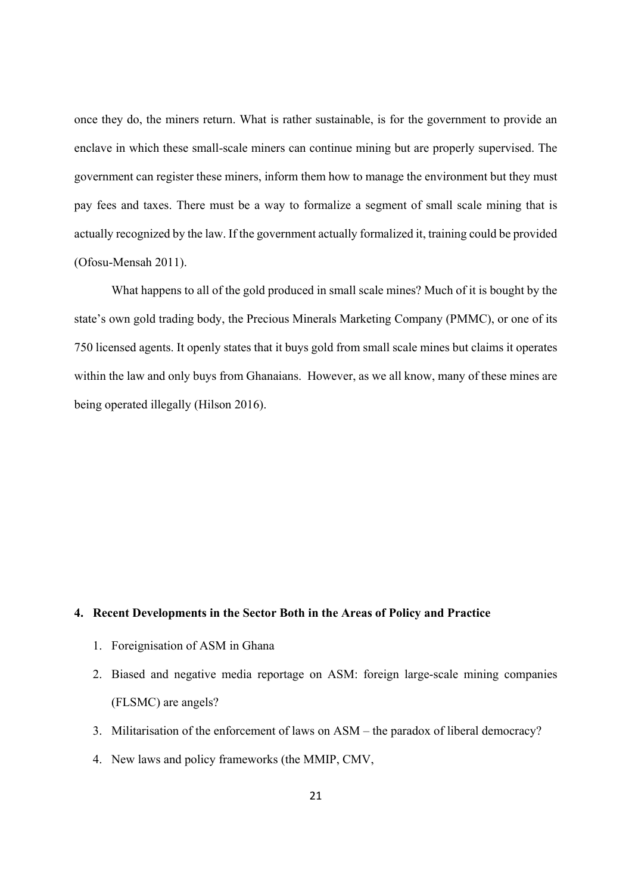once they do, the miners return. What is rather sustainable, is for the government to provide an enclave in which these small-scale miners can continue mining but are properly supervised. The government can register these miners, inform them how to manage the environment but they must pay fees and taxes. There must be a way to formalize a segment of small scale mining that is actually recognized by the law. If the government actually formalized it, training could be provided (Ofosu-Mensah 2011).

 What happens to all of the gold produced in small scale mines? Much of it is bought by the state's own gold trading body, the Precious Minerals Marketing Company (PMMC), or one of its 750 licensed agents. It openly states that it buys gold from small scale mines but claims it operates within the law and only buys from Ghanaians. However, as we all know, many of these mines are being operated illegally (Hilson 2016).

#### **4. Recent Developments in the Sector Both in the Areas of Policy and Practice**

- 1. Foreignisation of ASM in Ghana
- 2. Biased and negative media reportage on ASM: foreign large-scale mining companies (FLSMC) are angels?
- 3. Militarisation of the enforcement of laws on ASM the paradox of liberal democracy?
- 4. New laws and policy frameworks (the MMIP, CMV,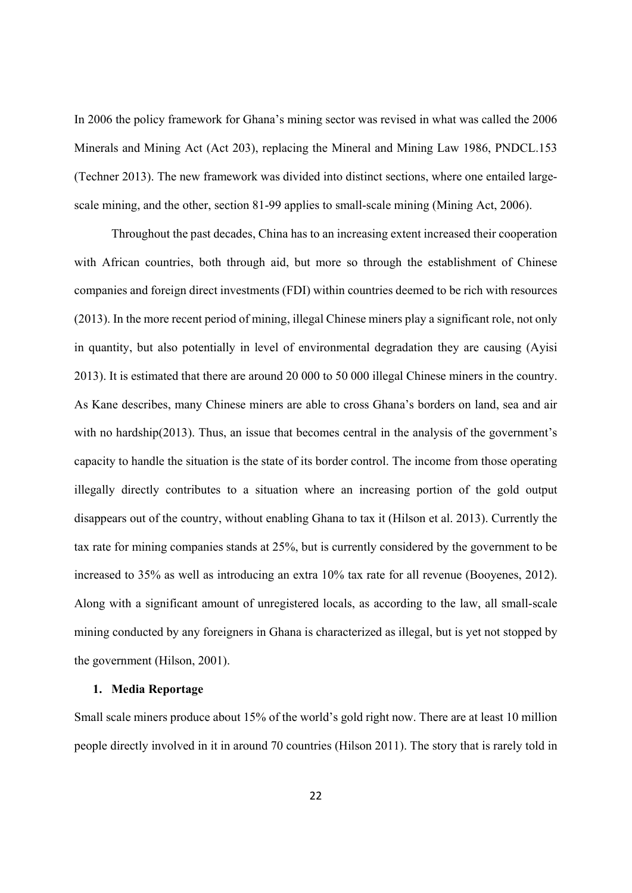In 2006 the policy framework for Ghana's mining sector was revised in what was called the 2006 Minerals and Mining Act (Act 203), replacing the Mineral and Mining Law 1986, PNDCL.153 (Techner 2013). The new framework was divided into distinct sections, where one entailed largescale mining, and the other, section 81-99 applies to small-scale mining (Mining Act, 2006).

 Throughout the past decades, China has to an increasing extent increased their cooperation with African countries, both through aid, but more so through the establishment of Chinese companies and foreign direct investments (FDI) within countries deemed to be rich with resources (2013). In the more recent period of mining, illegal Chinese miners play a significant role, not only in quantity, but also potentially in level of environmental degradation they are causing (Ayisi 2013). It is estimated that there are around 20 000 to 50 000 illegal Chinese miners in the country. As Kane describes, many Chinese miners are able to cross Ghana's borders on land, sea and air with no hardship(2013). Thus, an issue that becomes central in the analysis of the government's capacity to handle the situation is the state of its border control. The income from those operating illegally directly contributes to a situation where an increasing portion of the gold output disappears out of the country, without enabling Ghana to tax it (Hilson et al. 2013). Currently the tax rate for mining companies stands at 25%, but is currently considered by the government to be increased to 35% as well as introducing an extra 10% tax rate for all revenue (Booyenes, 2012). Along with a significant amount of unregistered locals, as according to the law, all small-scale mining conducted by any foreigners in Ghana is characterized as illegal, but is yet not stopped by the government (Hilson, 2001).

## **1. Media Reportage**

Small scale miners produce about 15% of the world's gold right now. There are at least 10 million people directly involved in it in around 70 countries (Hilson 2011). The story that is rarely told in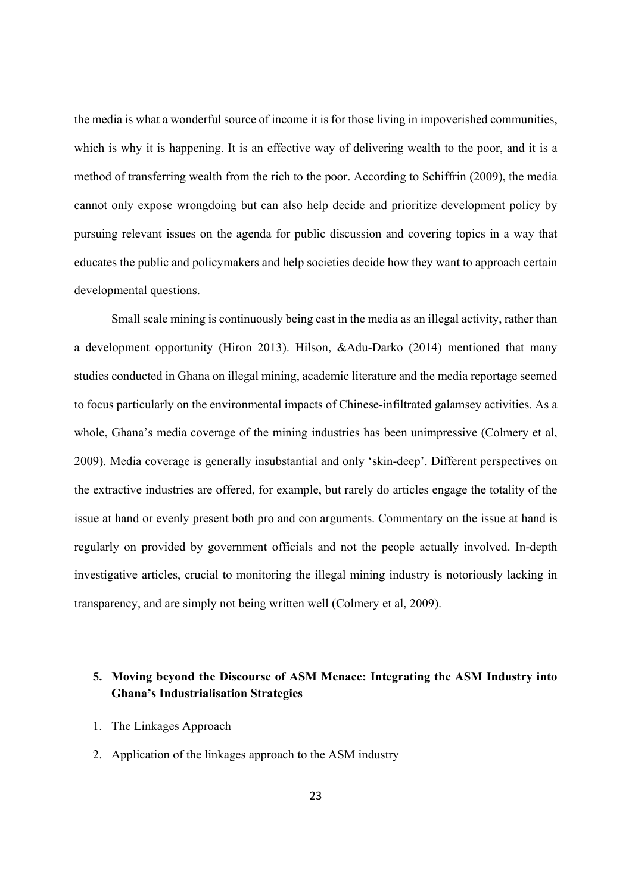the media is what a wonderful source of income it is for those living in impoverished communities, which is why it is happening. It is an effective way of delivering wealth to the poor, and it is a method of transferring wealth from the rich to the poor. According to Schiffrin (2009), the media cannot only expose wrongdoing but can also help decide and prioritize development policy by pursuing relevant issues on the agenda for public discussion and covering topics in a way that educates the public and policymakers and help societies decide how they want to approach certain developmental questions.

 Small scale mining is continuously being cast in the media as an illegal activity, rather than a development opportunity (Hiron 2013). Hilson, &Adu-Darko (2014) mentioned that many studies conducted in Ghana on illegal mining, academic literature and the media reportage seemed to focus particularly on the environmental impacts of Chinese-infiltrated galamsey activities. As a whole, Ghana's media coverage of the mining industries has been unimpressive (Colmery et al, 2009). Media coverage is generally insubstantial and only 'skin-deep'. Different perspectives on the extractive industries are offered, for example, but rarely do articles engage the totality of the issue at hand or evenly present both pro and con arguments. Commentary on the issue at hand is regularly on provided by government officials and not the people actually involved. In-depth investigative articles, crucial to monitoring the illegal mining industry is notoriously lacking in transparency, and are simply not being written well (Colmery et al, 2009).

## **5. Moving beyond the Discourse of ASM Menace: Integrating the ASM Industry into Ghana's Industrialisation Strategies**

- 1. The Linkages Approach
- 2. Application of the linkages approach to the ASM industry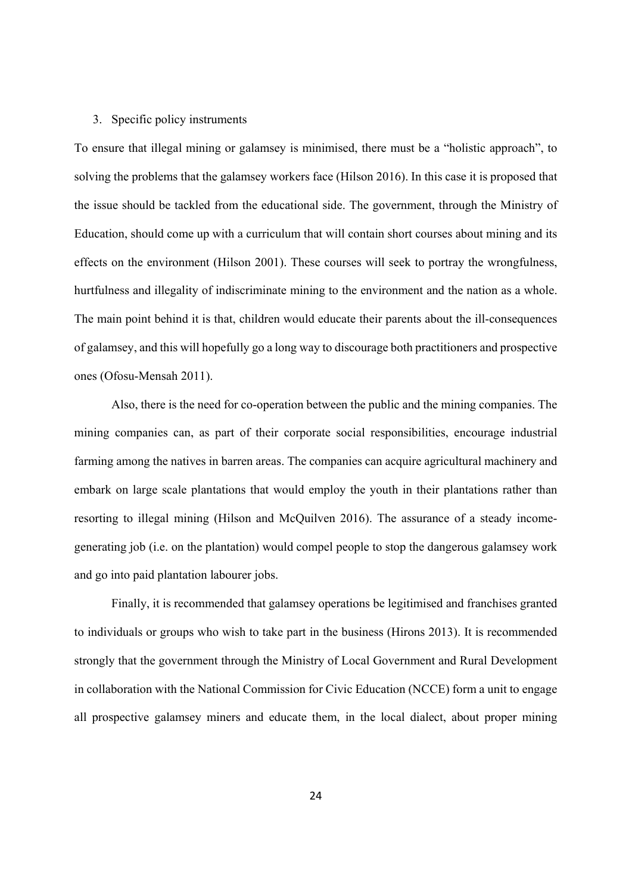#### 3. Specific policy instruments

To ensure that illegal mining or galamsey is minimised, there must be a "holistic approach", to solving the problems that the galamsey workers face (Hilson 2016). In this case it is proposed that the issue should be tackled from the educational side. The government, through the Ministry of Education, should come up with a curriculum that will contain short courses about mining and its effects on the environment (Hilson 2001). These courses will seek to portray the wrongfulness, hurtfulness and illegality of indiscriminate mining to the environment and the nation as a whole. The main point behind it is that, children would educate their parents about the ill-consequences of galamsey, and this will hopefully go a long way to discourage both practitioners and prospective ones (Ofosu-Mensah 2011).

 Also, there is the need for co-operation between the public and the mining companies. The mining companies can, as part of their corporate social responsibilities, encourage industrial farming among the natives in barren areas. The companies can acquire agricultural machinery and embark on large scale plantations that would employ the youth in their plantations rather than resorting to illegal mining (Hilson and McQuilven 2016). The assurance of a steady incomegenerating job (i.e. on the plantation) would compel people to stop the dangerous galamsey work and go into paid plantation labourer jobs.

 Finally, it is recommended that galamsey operations be legitimised and franchises granted to individuals or groups who wish to take part in the business (Hirons 2013). It is recommended strongly that the government through the Ministry of Local Government and Rural Development in collaboration with the National Commission for Civic Education (NCCE) form a unit to engage all prospective galamsey miners and educate them, in the local dialect, about proper mining